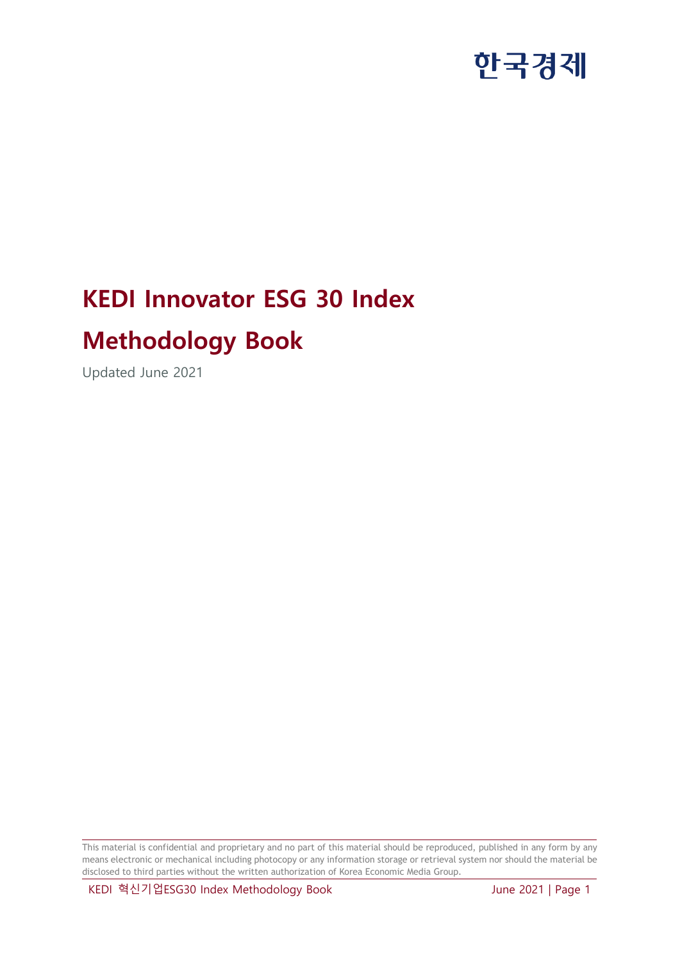# **KEDI Innovator ESG 30 Index**

### **Methodology Book**

Updated June 2021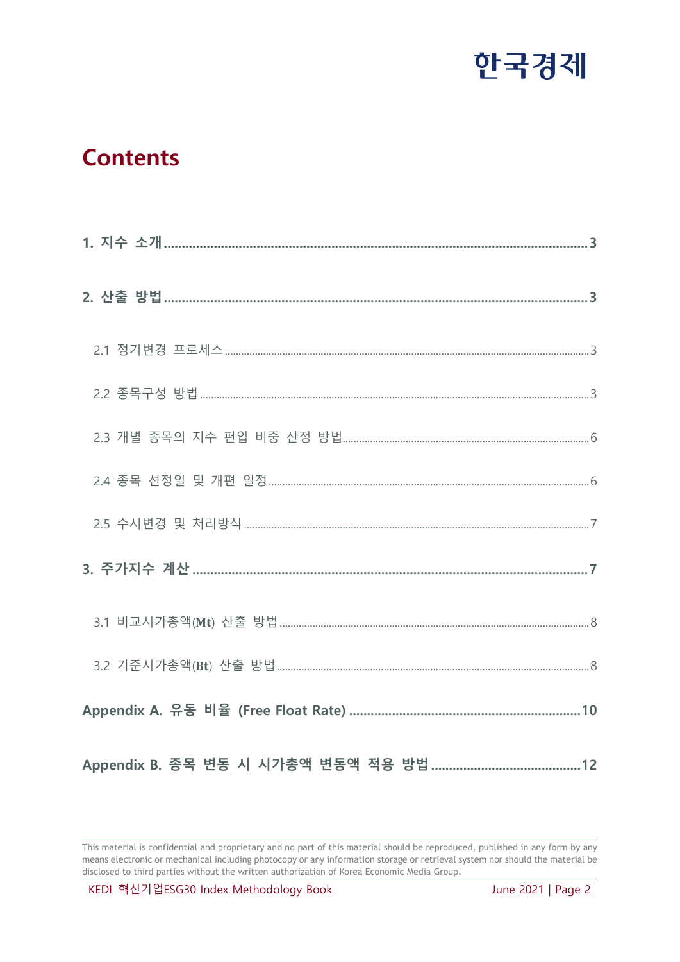

### **Contents**

<span id="page-1-0"></span>This material is confidential and proprietary and no part of this material should be reproduced, published in any form by any means electronic or mechanical including photocopy or any information storage or retrieval system nor should the material be disclosed to third parties without the written authorization of Korea Economic Media Group.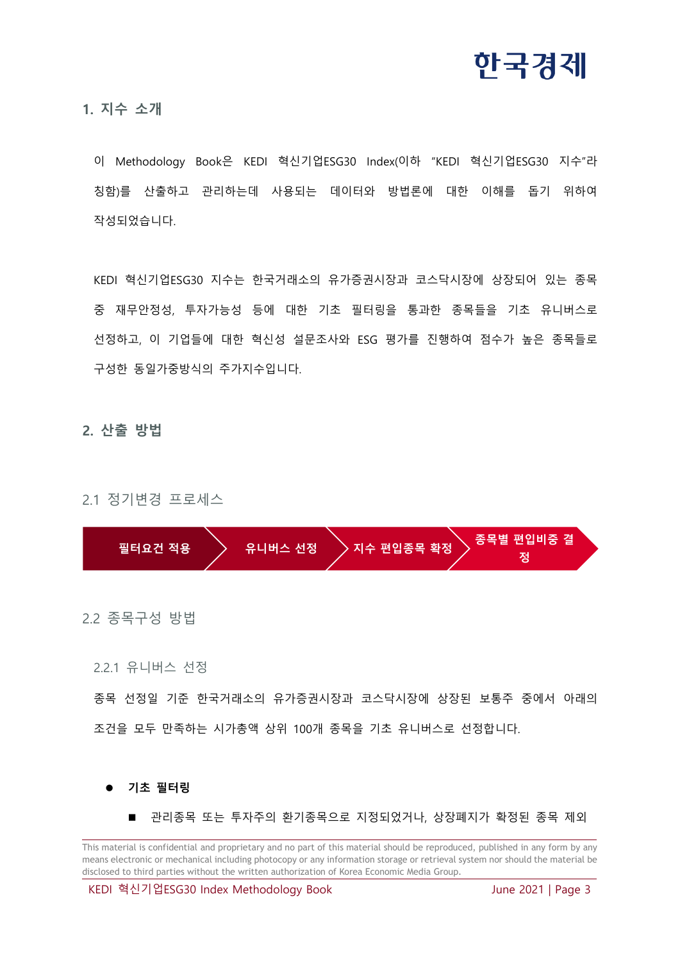

**1. 지수 소개**

이 Methodology Book은 KEDI 혁신기업ESG30 Index(이하 "KEDI 혁신기업ESG30 지수"라 칭함)를 산출하고 관리하는데 사용되는 데이터와 방법론에 대한 이해를 돕기 위하여 작성되었습니다.

KEDI 혁신기업ESG30 지수는 한국거래소의 유가증권시장과 코스닥시장에 상장되어 있는 종목 중 재무안정성, 투자가능성 등에 대한 기초 필터링을 통과한 종목들을 기초 유니버스로 선정하고, 이 기업들에 대한 혁신성 설문조사와 ESG 평가를 진행하여 점수가 높은 종목들로 구성한 동일가중방식의 주가지수입니다.

#### <span id="page-2-0"></span>**2. 산출 방법**

<span id="page-2-1"></span>2.1 정기변경 프로세스



<span id="page-2-2"></span>2.2 종목구성 방법

2.2.1 유니버스 선정

종목 선정일 기준 한국거래소의 유가증권시장과 코스닥시장에 상장된 보통주 중에서 아래의 조건을 모두 만족하는 시가총액 상위 100개 종목을 기초 유니버스로 선정합니다.

**기초 필터링**

관리종목 또는 투자주의 환기종목으로 지정되었거나, 상장폐지가 확정된 종목 제외

This material is confidential and proprietary and no part of this material should be reproduced, published in any form by any means electronic or mechanical including photocopy or any information storage or retrieval system nor should the material be disclosed to third parties without the written authorization of Korea Economic Media Group.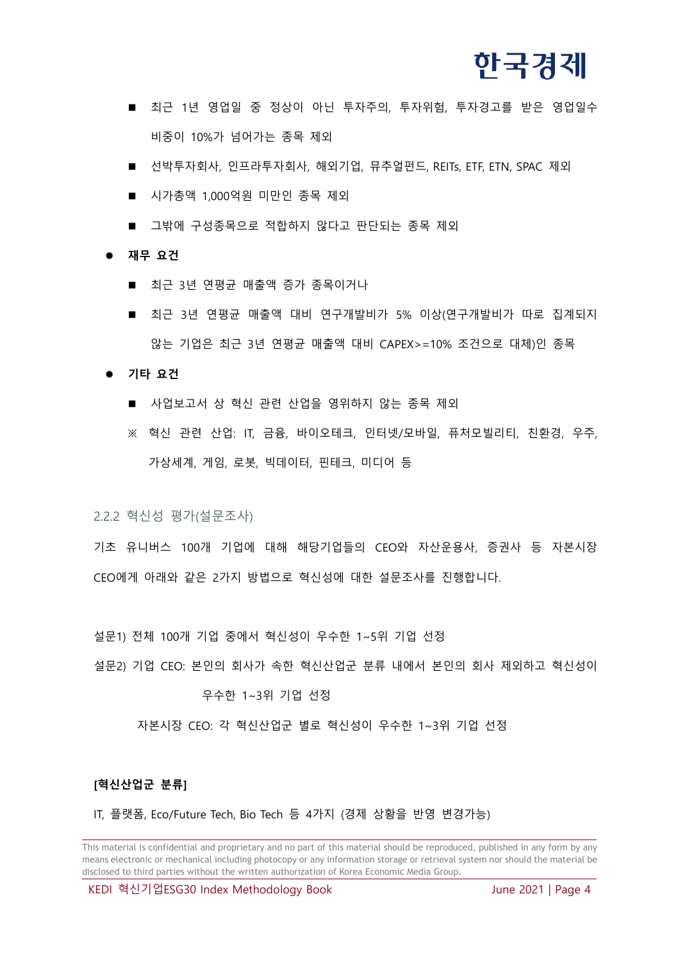

- 최근 1년 영업일 중 정상이 아닌 투자주의, 투자위험, 투자경고를 받은 영업일수 비중이 10%가 넘어가는 종목 제외
- 선박투자회사, 인프라투자회사, 해외기업, 뮤추얼펀드, REITs, ETF, ETN, SPAC 제외
- 시가총액 1,000억원 미만인 종목 제외
- 그밖에 구성종목으로 적합하지 않다고 판단되는 종목 제외

#### ● 재무 요건

- 최근 3년 연평균 매출액 증가 종목이거나
- 최근 3년 연평균 매출액 대비 연구개발비가 5% 이상(연구개발비가 따로 집계되지 않는 기업은 최근 3년 연평균 매출액 대비 CAPEX>=10% 조건으로 대체)인 종목

**기타 요건**

- 사업보고서 상 혁신 관련 산업을 영위하지 않는 종목 제외
- ※ 혁신 관련 산업: IT, 금융, 바이오테크, 인터넷/모바일, 퓨처모빌리티, 친환경, 우주, 가상세계, 게임, 로봇, 빅데이터, 핀테크, 미디어 등

2.2.2 혁신성 평가(설문조사)

기초 유니버스 100개 기업에 대해 해당기업들의 CEO와 자산운용사, 증권사 등 자본시장 CEO에게 아래와 같은 2가지 방법으로 혁신성에 대한 설문조사를 진행합니다.

설문1) 전체 100개 기업 중에서 혁신성이 우수한 1~5위 기업 선정

설문2) 기업 CEO: 본인의 회사가 속한 혁신산업군 분류 내에서 본인의 회사 제외하고 혁신성이

#### 우수한 1~3위 기업 선정

자본시장 CEO: 각 혁신산업군 별로 혁신성이 우수한 1~3위 기업 선정

#### **[혁신산업군 분류]**

IT, 플랫폼, Eco/Future Tech, Bio Tech 등 4가지 (경제 상황을 반영 변경가능)

This material is confidential and proprietary and no part of this material should be reproduced, published in any form by any means electronic or mechanical including photocopy or any information storage or retrieval system nor should the material be disclosed to third parties without the written authorization of Korea Economic Media Group.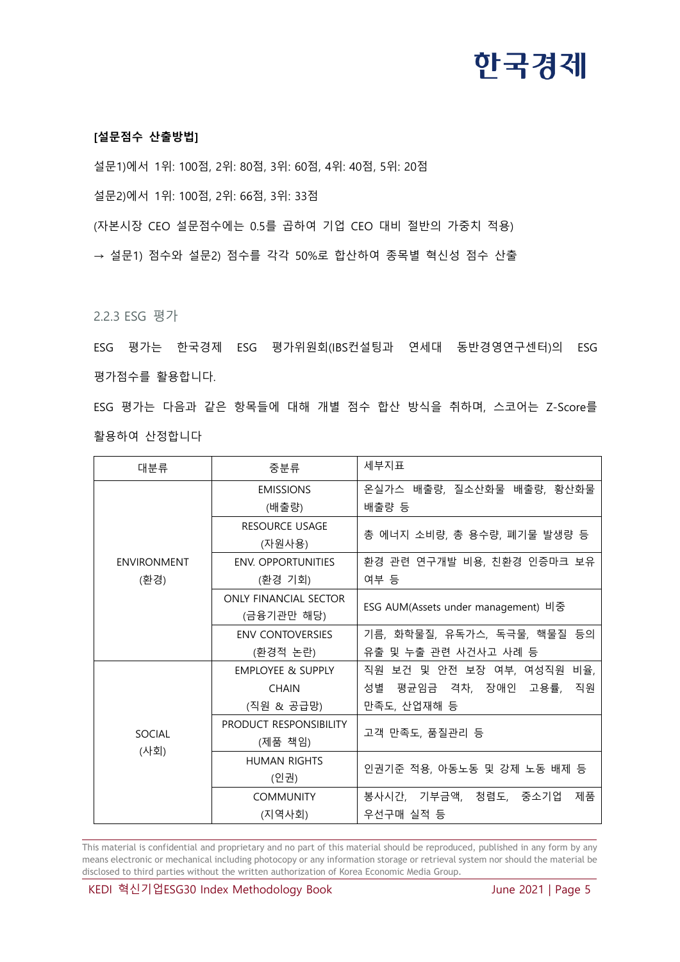#### **[설문점수 산출방법]**

설문1)에서 1위: 100점, 2위: 80점, 3위: 60점, 4위: 40점, 5위: 20점

설문2)에서 1위: 100점, 2위: 66점, 3위: 33점

(자본시장 CEO 설문점수에는 0.5를 곱하여 기업 CEO 대비 절반의 가중치 적용)

→ 설문1) 점수와 설문2) 점수를 각각 50%로 합산하여 종목별 혁신성 점수 산출

2.2.3 ESG 평가

ESG 평가는 한국경제 ESG 평가위원회(IBS컨설팅과 연세대 동반경영연구센터)의 ESG 평가점수를 활용합니다.

ESG 평가는 다음과 같은 항목들에 대해 개별 점수 합산 방식을 취하며, 스코어는 Z-Score를 활용하여 산정합니다

| 대분류                        | 중분류                     | 세부지표                                |  |  |
|----------------------------|-------------------------|-------------------------------------|--|--|
|                            | <b>EMISSIONS</b>        | 온실가스 배출량, 질소산화물 배출량, 황산화물           |  |  |
|                            | (배출량)                   | 배출량 등                               |  |  |
|                            | <b>RESOURCE USAGE</b>   |                                     |  |  |
|                            | (자원사용)                  | 총 에너지 소비량, 총 용수량, 폐기물 발생량 등         |  |  |
| <b>ENVIRONMENT</b><br>(환경) | ENV. OPPORTUNITIES      | 환경 관련 연구개발 비용, 친환경 인증마크 보유          |  |  |
|                            | (환경 기회)                 | 여부 등                                |  |  |
|                            | ONLY FINANCIAL SECTOR   |                                     |  |  |
|                            | (금융기관만 해당)              | ESG AUM(Assets under management) 비중 |  |  |
|                            | <b>ENV CONTOVERSIES</b> | 기름, 화학물질, 유독가스, 독극물, 핵물질 등의         |  |  |
|                            | (환경적 논란)                | 유출 및 누출 관련 사건사고 사례 등                |  |  |
|                            | EMPLOYEE & SUPPLY       | 직원 보건 및 안전 보장 여부, 여성직원 비율,          |  |  |
|                            | <b>CHAIN</b>            | 성별 평균임금 격차, 장애인 고용률, 직원             |  |  |
|                            | (직원 & 공급망)              | 만족도, 산업재해 등                         |  |  |
| SOCIAL<br>(사회)             | PRODUCT RESPONSIBILITY  |                                     |  |  |
|                            | (제품 책임)                 | 고객 만족도, 품질관리 등                      |  |  |
|                            | <b>HUMAN RIGHTS</b>     |                                     |  |  |
|                            | (인권)                    | 인권기준 적용, 아동노동 및 강제 노동 배제 등          |  |  |
|                            | <b>COMMUNITY</b>        | 봉사시간, 기부금액, 청렴도, 중소기업<br>제품         |  |  |
|                            | (지역사회)                  | 우선구매 실적 등                           |  |  |

This material is confidential and proprietary and no part of this material should be reproduced, published in any form by any means electronic or mechanical including photocopy or any information storage or retrieval system nor should the material be disclosed to third parties without the written authorization of Korea Economic Media Group.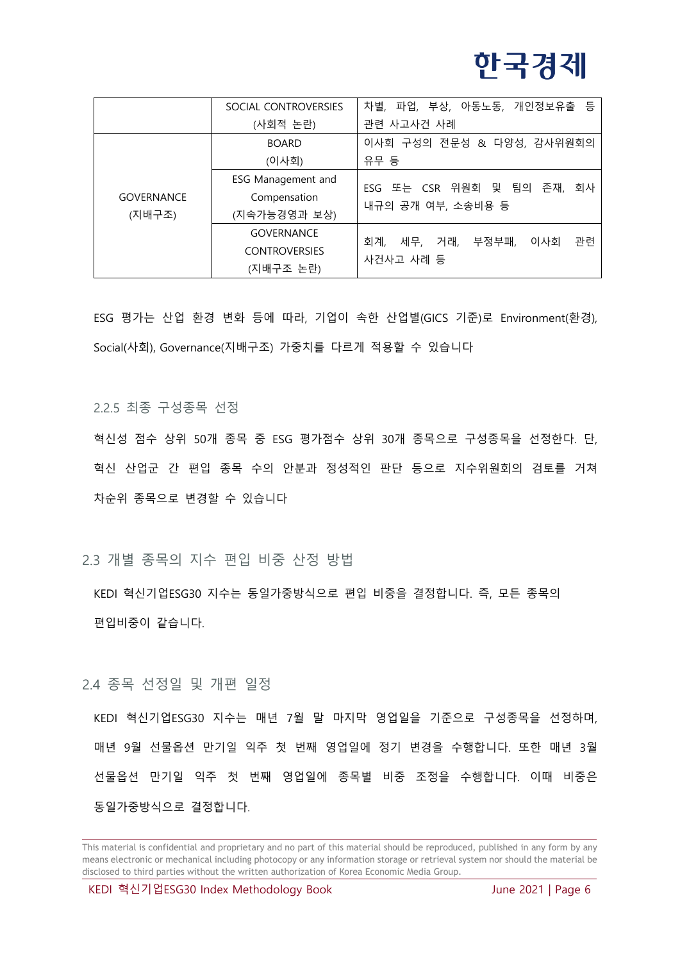# 하국경제

|                             | SOCIAL CONTROVERSIES | 차별, 파업, 부상, 아동노동, 개인정보유출 등           |  |  |
|-----------------------------|----------------------|--------------------------------------|--|--|
|                             | (사회적 논란)             | 관련 사고사건 사례                           |  |  |
|                             | <b>BOARD</b>         | 이사회 구성의 전문성 & 다양성, 감사위원회의            |  |  |
| <b>GOVERNANCE</b><br>(지배구조) | (이사회)                | 유무 등                                 |  |  |
|                             | ESG Management and   | ESG 또는 CSR 위원회 및 팀의<br>존재,           |  |  |
|                             | Compensation         | 회사<br>내규의 공개 여부, 소송비용 등              |  |  |
|                             | (지속가능경영과 보상)         |                                      |  |  |
|                             | <b>GOVERNANCE</b>    | 거래, 부정부패,<br>관련<br>회계,<br>세무,<br>이사회 |  |  |
|                             | <b>CONTROVERSIES</b> | 사건사고 사례 등                            |  |  |
|                             | (지배구조 논란)            |                                      |  |  |

ESG 평가는 산업 환경 변화 등에 따라, 기업이 속한 산업별(GICS 기준)로 Environment(환경), Social(사회), Governance(지배구조) 가중치를 다르게 적용할 수 있습니다

2.2.5 최종 구성종목 선정

혁신성 점수 상위 50개 종목 중 ESG 평가점수 상위 30개 종목으로 구성종목을 선정한다. 단, 혁신 산업군 간 편입 종목 수의 안분과 정성적인 판단 등으로 지수위원회의 검토를 거쳐 차순위 종목으로 변경할 수 있습니다

<span id="page-5-0"></span>2.3 개별 종목의 지수 편입 비중 산정 방법

KEDI 혁신기업ESG30 지수는 동일가중방식으로 편입 비중을 결정합니다. 즉, 모든 종목의 편입비중이 같습니다.

<span id="page-5-1"></span>2.4 종목 선정일 및 개편 일정

KEDI 혁신기업ESG30 지수는 매년 7월 말 마지막 영업일을 기준으로 구성종목을 선정하며, 매년 9월 선물옵션 만기일 익주 첫 번째 영업일에 정기 변경을 수행합니다. 또한 매년 3월 선물옵션 만기일 익주 첫 번째 영업일에 종목별 비중 조정을 수행합니다. 이때 비중은 동일가중방식으로 결정합니다.

This material is confidential and proprietary and no part of this material should be reproduced, published in any form by any means electronic or mechanical including photocopy or any information storage or retrieval system nor should the material be disclosed to third parties without the written authorization of Korea Economic Media Group.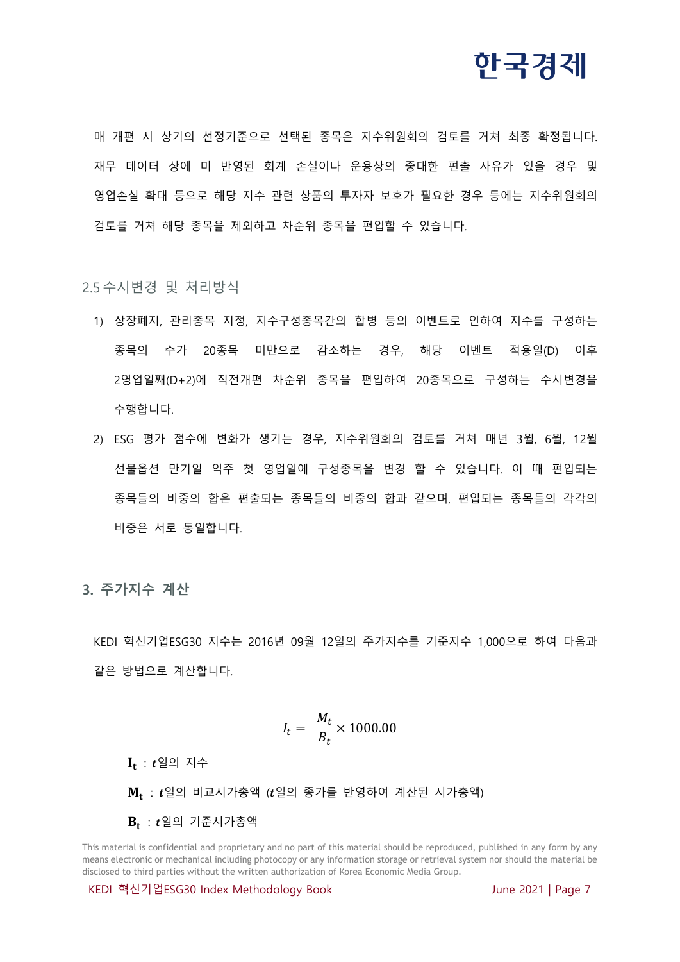### 하국경제

매 개편 시 상기의 선정기준으로 선택된 종목은 지수위원회의 검토를 거쳐 최종 확정됩니다. 재무 데이터 상에 미 반영된 회계 손실이나 운용상의 중대한 편출 사유가 있을 경우 및 영업손실 확대 등으로 해당 지수 관련 상품의 투자자 보호가 필요한 경우 등에는 지수위원회의 검토를 거쳐 해당 종목을 제외하고 차순위 종목을 편입할 수 있습니다.

#### <span id="page-6-0"></span>2.5 수시변경 및 처리방식

- 1) 상장폐지, 관리종목 지정, 지수구성종목간의 합병 등의 이벤트로 인하여 지수를 구성하는 종목의 수가 20종목 미만으로 감소하는 경우, 해당 이벤트 적용일(D) 이후 2영업일째(D+2)에 직전개편 차순위 종목을 편입하여 20종목으로 구성하는 수시변경을 수행합니다.
- 2) ESG 평가 점수에 변화가 생기는 경우, 지수위원회의 검토를 거쳐 매년 3월, 6월, 12월 선물옵션 만기일 익주 첫 영업일에 구성종목을 변경 할 수 있습니다. 이 때 편입되는 종목들의 비중의 합은 편출되는 종목들의 비중의 합과 같으며, 편입되는 종목들의 각각의 비중은 서로 동일합니다.

#### <span id="page-6-1"></span>**3. 주가지수 계산**

KEDI 혁신기업ESG30 지수는 2016년 09월 12일의 주가지수를 기준지수 1,000으로 하여 다음과 같은 방법으로 계산합니다.

$$
I_t = \frac{M_t}{B_t} \times 1000.00
$$

 $\mathbf{I_t}$  :  $t$ 일의 지수

 $\mathbf{M}_\mathbf{t}$  :  $\boldsymbol{t}$ 일의 비교시가총액 ( $\boldsymbol{t}$ 일의 종가를 반영하여 계산된 시가총액)

 $\mathbf{B}_{\mathbf{t}}$  :  $\boldsymbol{t}$ 일의 기준시가총액

This material is confidential and proprietary and no part of this material should be reproduced, published in any form by any means electronic or mechanical including photocopy or any information storage or retrieval system nor should the material be disclosed to third parties without the written authorization of Korea Economic Media Group.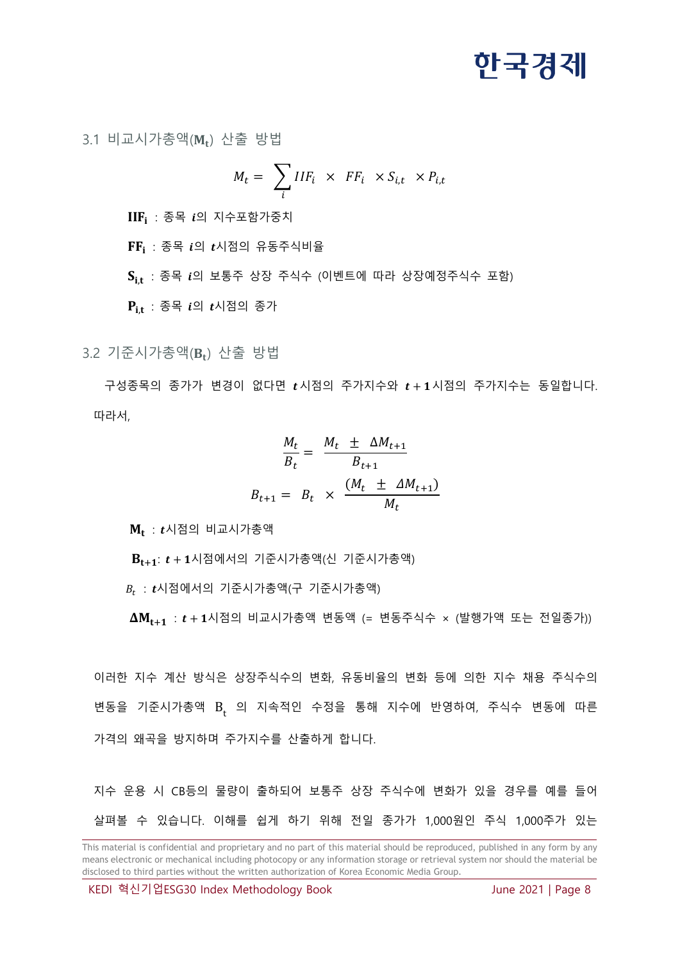<span id="page-7-0"></span>3.1 비교시가총액( $\texttt{M}_\texttt{t}$ ) 산출 방법

$$
M_t = \sum_i IIF_i \times FF_i \times S_{i,t} \times P_{i,t}
$$

 $\text{IIF}_{\text{i}}$  : 종목  $\textit{i}$ 의 지수포함가중치

 $\mathbf{FF_{i}}$  : 종목  $i$ 의  $t$ 시점의 유동주식비율

 $\mathbf{S_{i,t}}$  : 종목  $\boldsymbol{i}$ 의 보통주 상장 주식수 (이벤트에 따라 상장예정주식수 포함)

 $\mathbf{P_{i,t}}$  : 종목  $i$ 의  $t$ 시점의 종가

<span id="page-7-1"></span>3.2 기준시가총액( $B_t$ ) 산출 방법

구성종목의 종가가 변경이 없다면  $t$ 시점의 주가지수와  $t+1$ 시점의 주가지수는 동일합니다. 따라서,

$$
\frac{M_t}{B_t} = \frac{M_t \pm \Delta M_{t+1}}{B_{t+1}}
$$

$$
B_{t+1} = B_t \times \frac{(M_t \pm \Delta M_{t+1})}{M_t}
$$

 $\boldsymbol{\rm{M}}_{\textbf{t}}$  :  $\boldsymbol{\mathit{t}}$ 시점의 비교시가총액

 $B_{t+1}: t + 1$ 시점에서의 기준시가총액(신 기준시가총액)

 $\bm{\mathit{B}}_t$  :  $\bm{\mathit{t}}$ 시점에서의 기준시가총액)

 $\Delta M_{t+1}$  :  $t + 1$ 시점의 비교시가총액 변동액 (= 변동주식수 × (발행가액 또는 전일종가))

이러한 지수 계산 방식은 상장주식수의 변화, 유동비율의 변화 등에 의한 지수 채용 주식수의 변동을 기준시가총액 B, 의 지속적인 수정을 통해 지수에 반영하여, 주식수 변동에 따른 가격의 왜곡을 방지하며 주가지수를 산출하게 합니다.

지수 운용 시 CB등의 물량이 출하되어 보통주 상장 주식수에 변화가 있을 경우를 예를 들어 살펴볼 수 있습니다. 이해를 쉽게 하기 위해 전일 종가가 1,000원인 주식 1,000주가 있는

This material is confidential and proprietary and no part of this material should be reproduced, published in any form by any means electronic or mechanical including photocopy or any information storage or retrieval system nor should the material be disclosed to third parties without the written authorization of Korea Economic Media Group.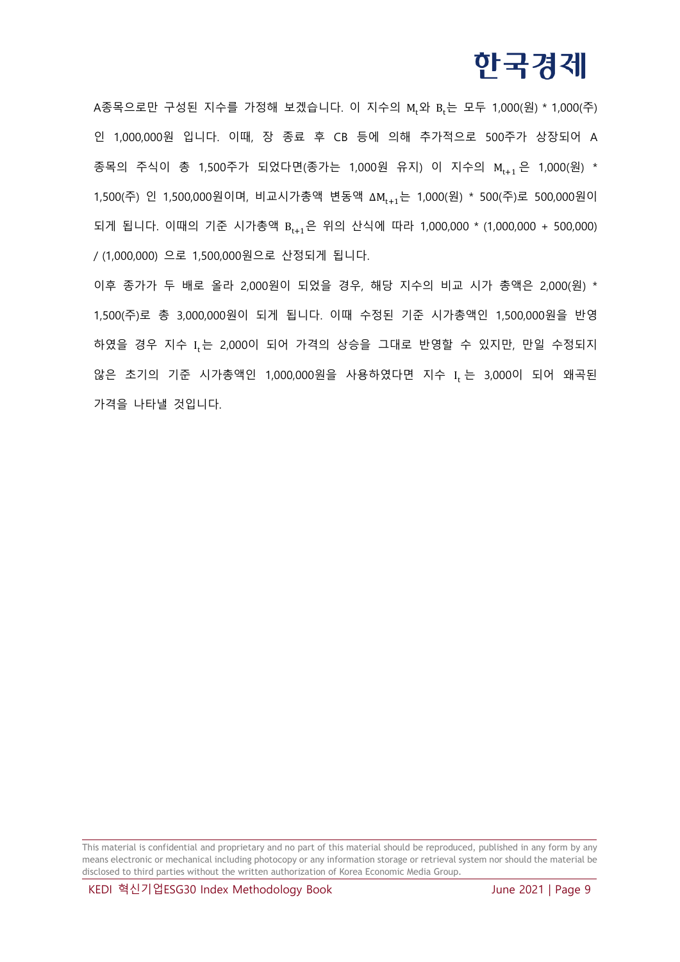A종목으로만 구성된 지수를 가정해 보겠습니다. 이 지수의 M<sub>r</sub>와 B<sub>r</sub>는 모두 1,000(원) \* 1,000(주) 인 1,000,000원 입니다. 이때, 장 종료 후 CB 등에 의해 추가적으로 500주가 상장되어 A 종목의 주식이 총 1,500주가 되었다면(종가는 1,000원 유지) 이 지수의 M<sub>t+1</sub> 은 1,000(원) \* 1,500(주) 인 1,500,000원이며, 비교시가총액 변동액 ΔM<sub>t+1</sub>는 1,000(원) \* 500(주)로 500,000원이 되게 됩니다. 이때의 기준 시가총액 B<sub>t+1</sub>은 위의 산식에 따라 1,000,000 \* (1,000,000 + 500,000) / (1,000,000) 으로 1,500,000원으로 산정되게 됩니다.

이후 종가가 두 배로 올라 2,000원이 되었을 경우, 해당 지수의 비교 시가 총액은 2,000(원) \* 1,500(주)로 총 3,000,000원이 되게 됩니다. 이때 수정된 기준 시가총액인 1,500,000원을 반영 하였을 경우 지수 I<sub>t</sub>는 2,000이 되어 가격의 상승을 그대로 반영할 수 있지만, 만일 수정되지 않은 초기의 기준 시가총액인 1,000,000원을 사용하였다면 지수 I<sub>t</sub>는 3,000이 되어 왜곡된 가격을 나타낼 것입니다.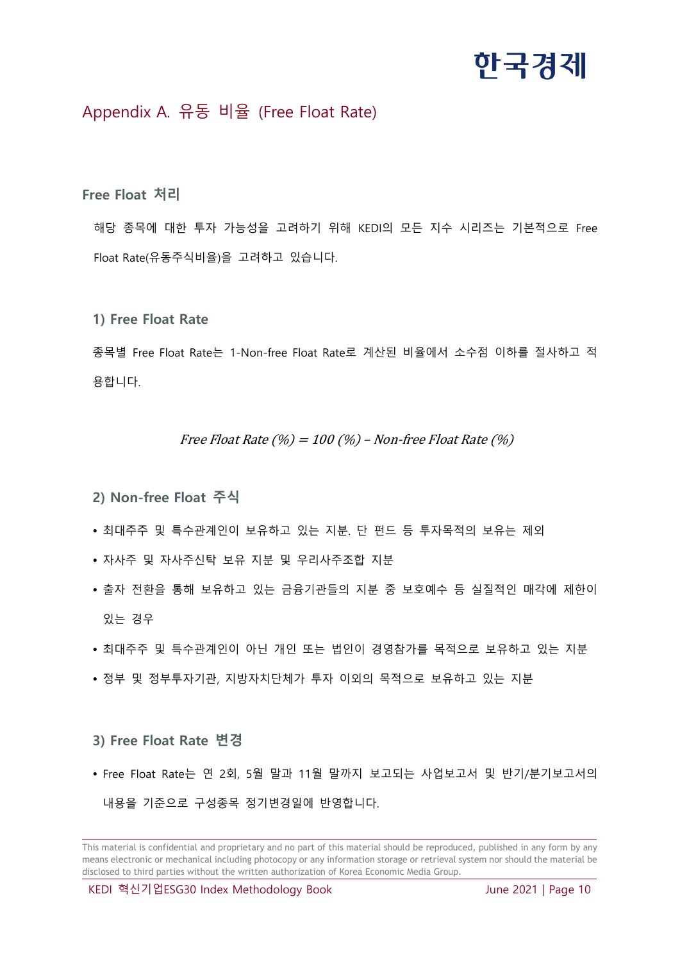### <span id="page-9-0"></span>Appendix A. 유동 비율 (Free Float Rate)

**Free Float 처리**

해당 종목에 대한 투자 가능성을 고려하기 위해 KEDI의 모든 지수 시리즈는 기본적으로 Free Float Rate(유동주식비율)을 고려하고 있습니다.

**1) Free Float Rate**

종목별 Free Float Rate는 1-Non-free Float Rate로 계산된 비율에서 소수점 이하를 절사하고 적 용합니다.

#### Free Float Rate  $(\%) = 100 (\%)$  – Non-free Float Rate  $(\%)$

- **2) Non-free Float 주식**
- 최대주주 및 특수관계인이 보유하고 있는 지분. 단 펀드 등 투자목적의 보유는 제외
- 자사주 및 자사주신탁 보유 지분 및 우리사주조합 지분
- 출자 전환을 통해 보유하고 있는 금융기관들의 지분 중 보호예수 등 실질적인 매각에 제한이 있는 경우
- 최대주주 및 특수관계인이 아닌 개인 또는 법인이 경영참가를 목적으로 보유하고 있는 지분
- 정부 및 정부투자기관, 지방자치단체가 투자 이외의 목적으로 보유하고 있는 지분

#### **3) Free Float Rate 변경**

 Free Float Rate는 연 2회, 5월 말과 11월 말까지 보고되는 사업보고서 및 반기/분기보고서의 내용을 기준으로 구성종목 정기변경일에 반영합니다.

This material is confidential and proprietary and no part of this material should be reproduced, published in any form by any means electronic or mechanical including photocopy or any information storage or retrieval system nor should the material be disclosed to third parties without the written authorization of Korea Economic Media Group.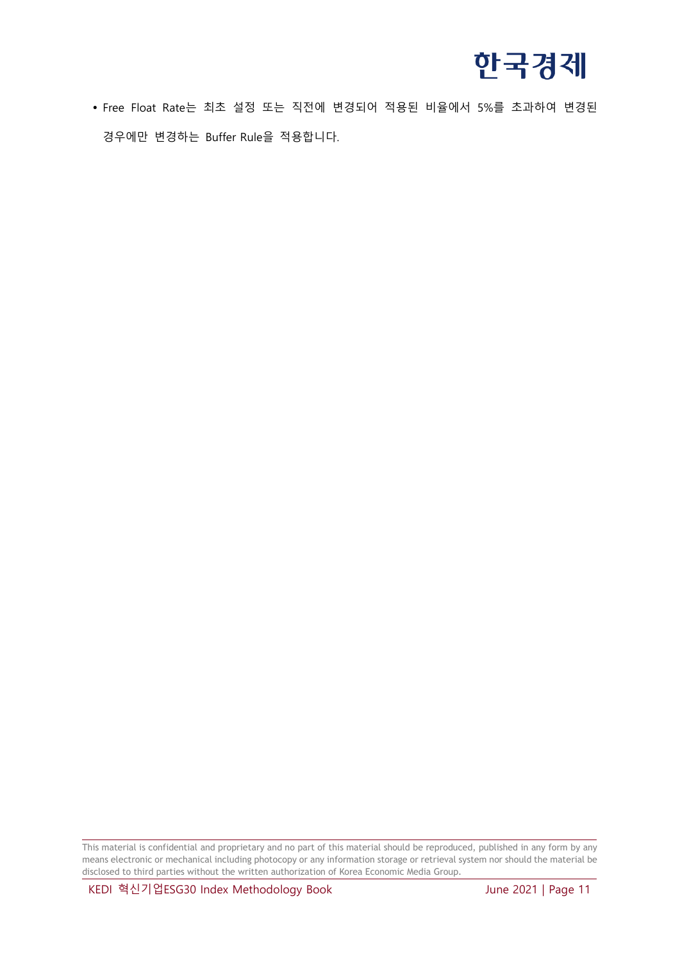

 Free Float Rate는 최초 설정 또는 직전에 변경되어 적용된 비율에서 5%를 초과하여 변경된 경우에만 변경하는 Buffer Rule을 적용합니다.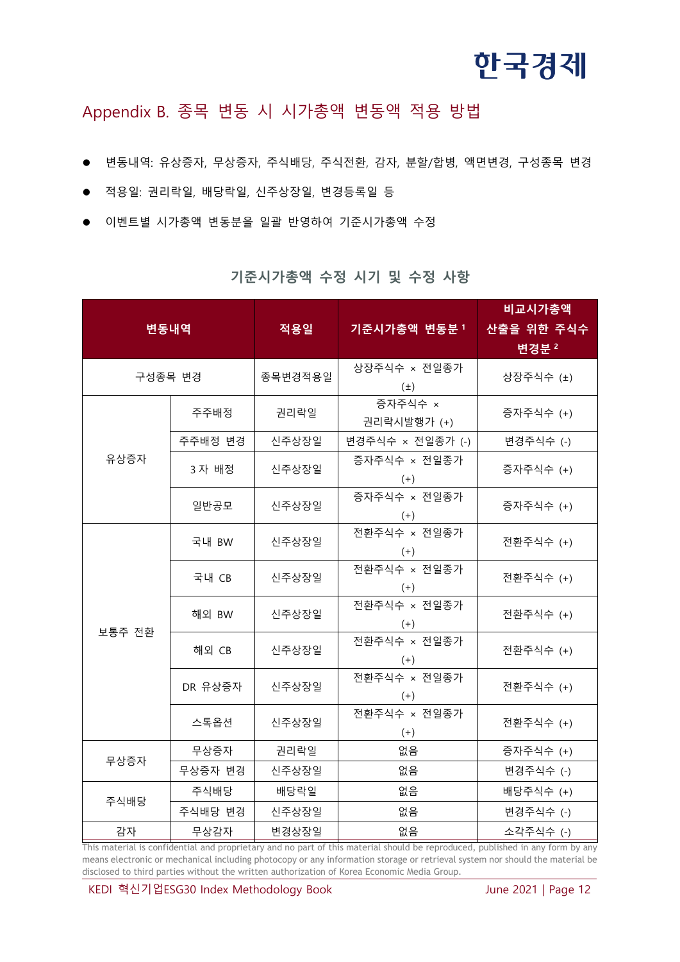### <span id="page-11-0"></span>Appendix B. 종목 변동 시 시가총액 변동액 적용 방법

- 변동내역: 유상증자, 무상증자, 주식배당, 주식전환, 감자, 분할/합병, 액면변경, 구성종목 변경
- 적용일: 권리락일, 배당락일, 신주상장일, 변경등록일 등
- 이벤트별 시가총액 변동분을 일괄 반영하여 기준시가총액 수정

| 변동내역       |         | 적용일     | 기준시가총액 변동분 1            | 비교시가총액<br>산출을 위한 주식수<br>변경분 2 |
|------------|---------|---------|-------------------------|-------------------------------|
| 구성종목 변경    |         | 종목변경적용일 | 상장주식수 × 전일종가<br>$(\pm)$ | 상장주식수 (±)                     |
|            | 주주배정    | 권리락일    | 증자주식수 ×<br>권리락시발행가 (+)  | 증자주식수 (+)                     |
|            | 주주배정 변경 | 신주상장일   | 변경주식수 × 전일종가 (-)        | 변경주식수 (-)                     |
| 유상증자       | 3자 배정   | 신주상장일   | 증자주식수 × 전일종가<br>$(+)$   | 증자주식수 (+)                     |
|            | 일반공모    | 신주상장일   | 증자주식수 × 전일종가<br>$(+)$   | 증자주식수 (+)                     |
| 보통주 전환     | 국내 BW   | 신주상장일   | 전환주식수 × 전일종가<br>$(+)$   | 전환주식수 (+)                     |
|            | 국내 CB   | 신주상장일   | 전환주식수 × 전일종가<br>$(+)$   | 전환주식수 (+)                     |
|            | 해외 BW   | 신주상장일   | 전환주식수 × 전일종가<br>$(+)$   | 전환주식수 (+)                     |
|            | 해외 CB   | 신주상장일   | 전환주식수 × 전일종가<br>$(+)$   | 전환주식수 (+)                     |
|            | DR 유상증자 | 신주상장일   | 전환주식수 × 전일종가<br>$(+)$   | 전환주식수 (+)                     |
|            | 스톡옵션    | 신주상장일   | 전환주식수 × 전일종가<br>$(+)$   | 전환주식수 (+)                     |
| 무상증자       | 무상증자    | 권리락일    | 없음                      | 증자주식수 (+)                     |
|            | 무상증자 변경 | 신주상장일   | 없음                      | 변경주식수 (-)                     |
| 주식배당       | 주식배당    | 배당락일    | 없음                      | 배당주식수 (+)                     |
|            | 주식배당 변경 | 신주상장일   | 없음                      | 변경주식수 (-)                     |
| 감자<br>무상감자 |         | 변경상장일   | 없음                      | 소각주식수 (-)                     |

**기준시가총액 수정 시기 및 수정 사항**

This material is confidential and proprietary and no part of this material should be reproduced, published in any form by any means electronic or mechanical including photocopy or any information storage or retrieval system nor should the material be disclosed to third parties without the written authorization of Korea Economic Media Group.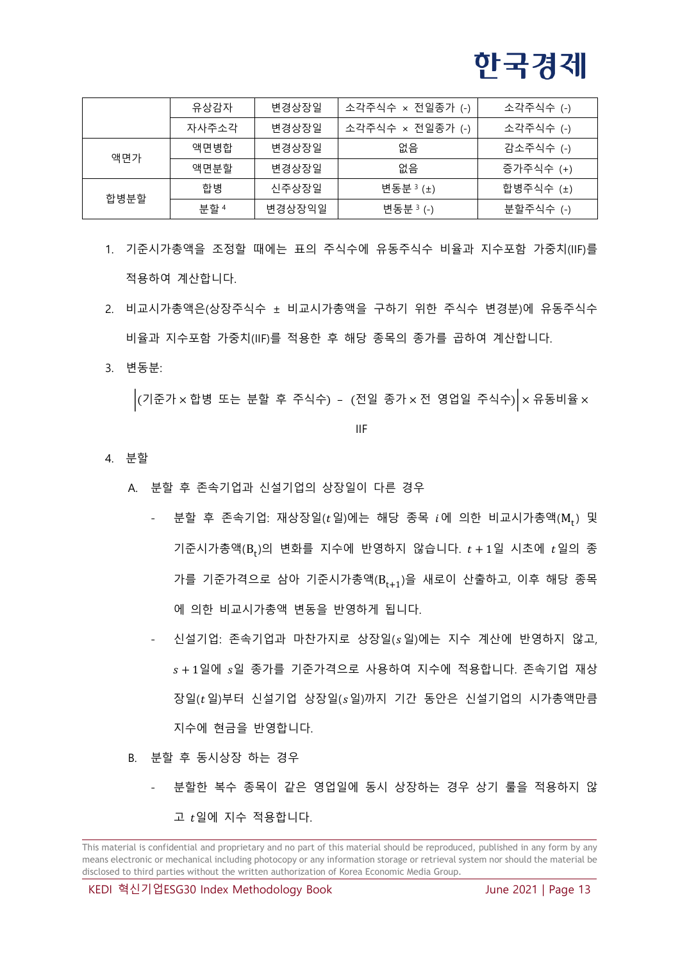|      | 유상감자  | 변경상장일  | 소각주식수 × 전일종가 (-) | 소각주식수 (-) |
|------|-------|--------|------------------|-----------|
|      | 자사주소각 | 변경상장일  | 소각주식수 × 전일종가 (-) | 소각주식수 (-) |
| 액면가  | 액면병합  | 변경상장일  | 없음               | 감소주식수 (-) |
|      | 액면부할  | 변경상장일  | 없음               | 증가주식수 (+) |
| 합병분할 | 합병    | 신주상장일  | 변동분 3 (±)        | 합병주식수 (±) |
|      | 부할 4  | 변경상장익일 | 변동분 3 (-)        | 분할주식수 (-) |

- 1. 기준시가총액을 조정할 때에는 표의 주식수에 유동주식수 비율과 지수포함 가중치(IIF)를 적용하여 계산합니다.
- 2. 비교시가총액은(상장주식수 ± 비교시가총액을 구하기 위한 주식수 변경분)에 유동주식수 비율과 지수포함 가중치(IIF)를 적용한 후 해당 종목의 종가를 곱하여 계산합니다.
- 3. 변동분:

 $\Big|$ (기준가 × 합병 또는 분할 후 주식수) - (전일 종가 × 전 영업일 주식수) $\Big|$  × 유동비율 ×

IIF

- 4. 분할
	- A. 분할 후 존속기업과 신설기업의 상장일이 다른 경우
		- 분할 후 존속기업: 재상장일( $t$ 일)에는 해당 종목  $i$ 에 의한 비교시가총액( $\mathrm{M_{t}})$  및 기준시가총액( $\mathrm{B_{t}}$ )의 변화를 지수에 반영하지 않습니다.  $t$  + 1일 시초에  $t$ 일의 종 가를 기준가격으로 삼아 기준시가총액(B<sub>t+1</sub>)을 새로이 산출하고, 이후 해당 종목 에 의한 비교시가총액 변동을 반영하게 됩니다.
		- 신설기업: 존속기업과 마찬가지로 상장일( 일)에는 지수 계산에 반영하지 않고,  $s + 1$ 일에  $s$ 일 종가를 기준가격으로 사용하여 지수에 적용합니다. 존속기업 재상 장일( $t$  일)부터 신설기업 상장일( $s$  일)까지 기간 동안은 신설기업의 시가총액만큼 지수에 현금을 반영합니다.
	- B. 분할 후 동시상장 하는 경우
		- 분할한 복수 종목이 같은 영업일에 동시 상장하는 경우 상기 룰을 적용하지 않 고  $t$ 일에 지수 적용합니다.

This material is confidential and proprietary and no part of this material should be reproduced, published in any form by any means electronic or mechanical including photocopy or any information storage or retrieval system nor should the material be disclosed to third parties without the written authorization of Korea Economic Media Group.